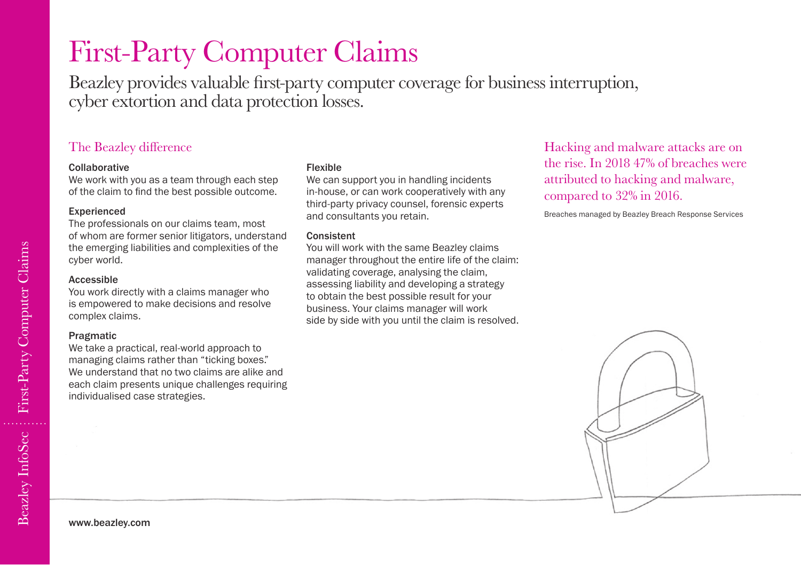# First-Party Computer Claims

Beazley provides valuable first-party computer coverage for business interruption, cyber extortion and data protection losses.

# The Beazley difference

#### Collaborative

We work with you as a team through each step of the claim to find the best possible outcome.

#### Experienced

The professionals on our claims team, most of whom are former senior litigators, understand the emerging liabilities and complexities of the cyber world.

## Accessible

You work directly with a claims manager who is empowered to make decisions and resolve complex claims.

#### Pragmatic

We take a practical, real-world approach to managing claims rather than "ticking boxes." We understand that no two claims are alike and each claim presents unique challenges requiring individualised case strategies.

#### Flexible

We can support you in handling incidents in-house, or can work cooperatively with any third-party privacy counsel, forensic experts and consultants you retain.

#### Consistent

You will work with the same Beazley claims manager throughout the entire life of the claim: validating coverage, analysing the claim, assessing liability and developing a strategy to obtain the best possible result for your business. Your claims manager will work side by side with you until the claim is resolved. Hacking and malware attacks are on the rise. In 2018 47% of breaches were attributed to hacking and malware, compared to 32% in 2016.

Breaches managed by Beazley Breach Response Services

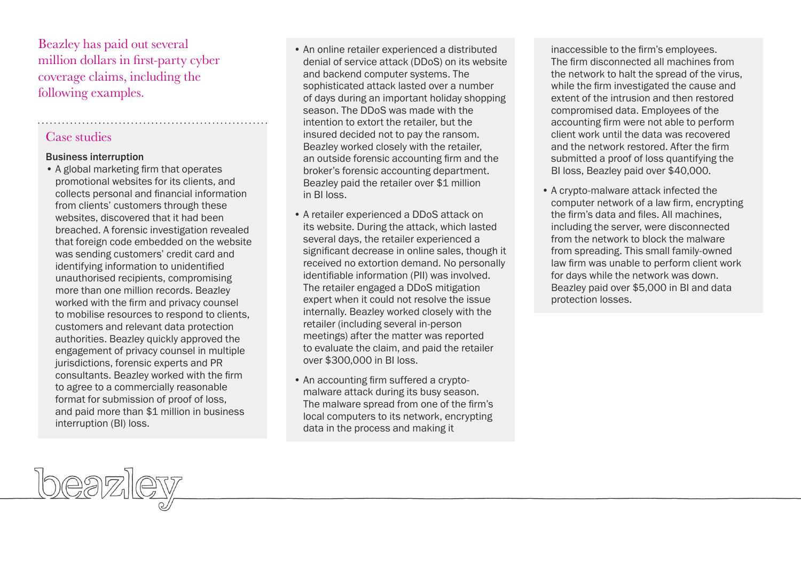Beazley has paid out several million dollars in first-party cyber coverage claims, including the following examples.

# Case studies

### Business interruption

- A global marketing firm that operates promotional websites for its clients, and collects personal and financial information from clients' customers through these websites, discovered that it had been breached. A forensic investigation revealed that foreign code embedded on the website was sending customers' credit card and identifying information to unidentified unauthorised recipients, compromising more than one million records. Beazley worked with the firm and privacy counsel to mobilise resources to respond to clients, customers and relevant data protection authorities. Beazley quickly approved the engagement of privacy counsel in multiple jurisdictions, forensic experts and PR consultants. Beazley worked with the firm to agree to a commercially reasonable format for submission of proof of loss, and paid more than \$1 million in business interruption (BI) loss.
- An online retailer experienced a distributed denial of service attack (DDoS) on its website and backend computer systems. The sophisticated attack lasted over a number of days during an important holiday shopping season. The DDoS was made with the intention to extort the retailer, but the insured decided not to pay the ransom. Beazley worked closely with the retailer, an outside forensic accounting firm and the broker's forensic accounting department. Beazley paid the retailer over \$1 million in BI loss.
- A retailer experienced a DDoS attack on its website. During the attack, which lasted several days, the retailer experienced a significant decrease in online sales, though it received no extortion demand. No personally identifiable information (PII) was involved. The retailer engaged a DDoS mitigation expert when it could not resolve the issue internally. Beazley worked closely with the retailer (including several in-person meetings) after the matter was reported to evaluate the claim, and paid the retailer over \$300,000 in BI loss.
- An accounting firm suffered a cryptomalware attack during its busy season. The malware spread from one of the firm's local computers to its network, encrypting data in the process and making it

inaccessible to the firm's employees. The firm disconnected all machines from the network to halt the spread of the virus, while the firm investigated the cause and extent of the intrusion and then restored compromised data. Employees of the accounting firm were not able to perform client work until the data was recovered and the network restored. After the firm submitted a proof of loss quantifying the BI loss, Beazley paid over \$40,000.

• A crypto-malware attack infected the computer network of a law firm, encrypting the firm's data and files. All machines, including the server, were disconnected from the network to block the malware from spreading. This small family-owned law firm was unable to perform client work for days while the network was down. Beazley paid over \$5,000 in BI and data protection losses.

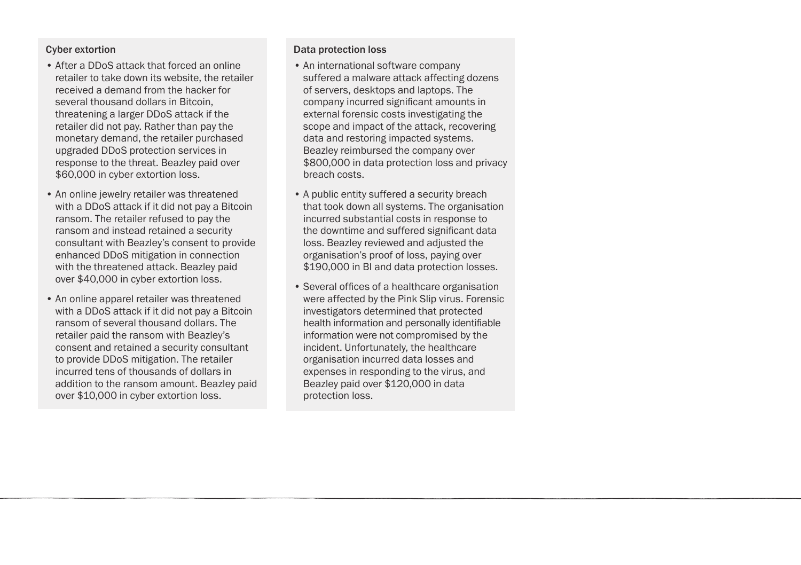# Cyber extortion

- After a DDoS attack that forced an online retailer to take down its website, the retailer received a demand from the hacker for several thousand dollars in Bitcoin, threatening a larger DDoS attack if the retailer did not pay. Rather than pay the monetary demand, the retailer purchased upgraded DDoS protection services in response to the threat. Beazley paid over \$60,000 in cyber extortion loss.
- An online jewelry retailer was threatened with a DDoS attack if it did not pay a Bitcoin ransom. The retailer refused to pay the ransom and instead retained a security consultant with Beazley's consent to provide enhanced DDoS mitigation in connection with the threatened attack. Beazley paid over \$40,000 in cyber extortion loss.
- An online apparel retailer was threatened with a DDoS attack if it did not pay a Bitcoin ransom of several thousand dollars. The retailer paid the ransom with Beazley's consent and retained a security consultant to provide DDoS mitigation. The retailer incurred tens of thousands of dollars in addition to the ransom amount. Beazley paid over \$10,000 in cyber extortion loss.

## Data protection loss

- An international software company suffered a malware attack affecting dozens of servers, desktops and laptops. The company incurred significant amounts in external forensic costs investigating the scope and impact of the attack, recovering data and restoring impacted systems. Beazley reimbursed the company over \$800,000 in data protection loss and privacy breach costs.
- A public entity suffered a security breach that took down all systems. The organisation incurred substantial costs in response to the downtime and suffered significant data loss. Beazley reviewed and adjusted the organisation's proof of loss, paying over \$190,000 in BI and data protection losses.
- Several offices of a healthcare organisation were affected by the Pink Slip virus. Forensic investigators determined that protected health information and personally identifiable information were not compromised by the incident. Unfortunately, the healthcare organisation incurred data losses and expenses in responding to the virus, and Beazley paid over \$120,000 in data protection loss.